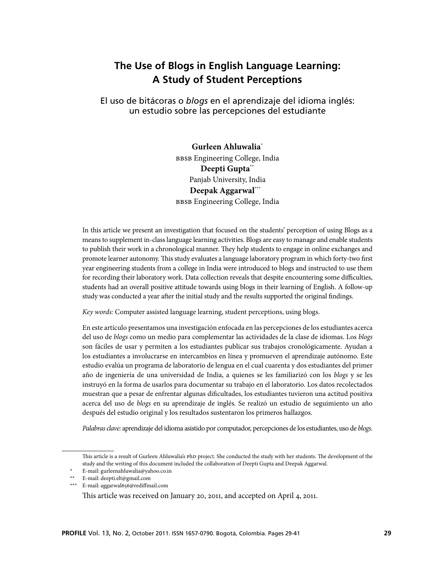# **The Use of Blogs in English Language Learning: A Study of Student Perceptions**

El uso de bitácoras o *blogs* en el aprendizaje del idioma inglés: un estudio sobre las percepciones del estudiante

> **Gurleen Ahluwalia**\* BBSB Engineering College, India **Deepti Gupta**\*\* Panjab University, India **Deepak Aggarwal**\*\*\* BBSB Engineering College, India

In this article we present an investigation that focused on the students' perception of using Blogs as a means to supplement in-class language learning activities. Blogs are easy to manage and enable students to publish their work in a chronological manner. They help students to engage in online exchanges and promote learner autonomy. This study evaluates a language laboratory program in which forty-two first year engineering students from a college in India were introduced to blogs and instructed to use them for recording their laboratory work. Data collection reveals that despite encountering some difficulties, students had an overall positive attitude towards using blogs in their learning of English. A follow-up study was conducted a year after the initial study and the results supported the original findings.

*Key words:* Computer assisted language learning, student perceptions, using blogs.

En este artículo presentamos una investigación enfocada en las percepciones de los estudiantes acerca del uso de *blogs* como un medio para complementar las actividades de la clase de idiomas. Los *blogs* son fáciles de usar y permiten a los estudiantes publicar sus trabajos cronológicamente. Ayudan a los estudiantes a involucrarse en intercambios en línea y promueven el aprendizaje autónomo. Este estudio evalúa un programa de laboratorio de lengua en el cual cuarenta y dos estudiantes del primer año de ingeniería de una universidad de India, a quienes se les familiarizó con los *blogs* y se les instruyó en la forma de usarlos para documentar su trabajo en el laboratorio. Los datos recolectados muestran que a pesar de enfrentar algunas dificultades, los estudiantes tuvieron una actitud positiva acerca del uso de *blogs* en su aprendizaje de inglés. Se realizó un estudio de seguimiento un año después del estudio original y los resultados sustentaron los primeros hallazgos.

*Palabras clave:* aprendizaje del idioma asistido por computador, percepciones de los estudiantes, uso de *blogs*.

E-mail: gurleenahluwalia@yahoo.co.in

This article was received on January 20, 2011, and accepted on April 4, 2011.

This article is a result of Gurleen Ahluwalia's PhD project. She conducted the study with her students. The development of the study and the writing of this document included the collaboration of Deepti Gupta and Deepak Aggarwal.

<sup>\*\*</sup> E-mail: deepti.elt@gmail.com

<sup>\*\*\*</sup> E-mail: aggarwal656@rediffmail.com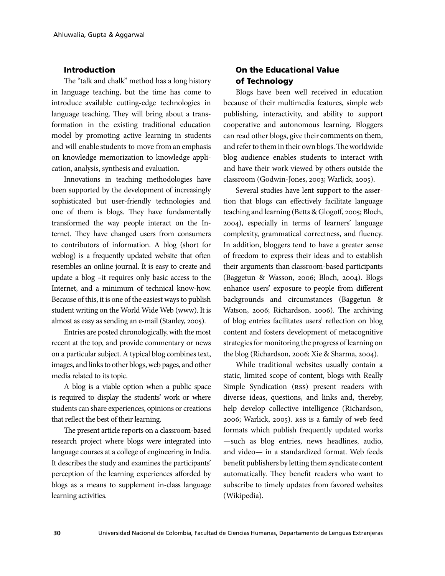### Introduction

The "talk and chalk" method has a long history in language teaching, but the time has come to introduce available cutting-edge technologies in language teaching. They will bring about a transformation in the existing traditional education model by promoting active learning in students and will enable students to move from an emphasis on knowledge memorization to knowledge application, analysis, synthesis and evaluation.

Innovations in teaching methodologies have been supported by the development of increasingly sophisticated but user-friendly technologies and one of them is blogs. They have fundamentally transformed the way people interact on the Internet. They have changed users from consumers to contributors of information. A blog (short for weblog) is a frequently updated website that often resembles an online journal. It is easy to create and update a blog –it requires only basic access to the Internet, and a minimum of technical know-how. Because of this, it is one of the easiest ways to publish student writing on the World Wide Web (www). It is almost as easy as sending an e-mail (Stanley, 2005).

Entries are posted chronologically, with the most recent at the top, and provide commentary or news on a particular subject. A typical blog combines text, images, and links to other blogs, web pages, and other media related to its topic.

A blog is a viable option when a public space is required to display the students' work or where students can share experiences, opinions or creations that reflect the best of their learning.

The present article reports on a classroom-based research project where blogs were integrated into language courses at a college of engineering in India. It describes the study and examines the participants' perception of the learning experiences afforded by blogs as a means to supplement in-class language learning activities.

# On the Educational Value of Technology

Blogs have been well received in education because of their multimedia features, simple web publishing, interactivity, and ability to support cooperative and autonomous learning. Bloggers can read other blogs, give their comments on them, and refer to them in their own blogs. The worldwide blog audience enables students to interact with and have their work viewed by others outside the classroom (Godwin-Jones, 2003; Warlick, 2005).

Several studies have lent support to the assertion that blogs can effectively facilitate language teaching and learning (Betts & Glogoff, 2005; Bloch, 2004), especially in terms of learners' language complexity, grammatical correctness, and fluency. In addition, bloggers tend to have a greater sense of freedom to express their ideas and to establish their arguments than classroom-based participants (Baggetun & Wasson, 2006; Bloch, 2004). Blogs enhance users' exposure to people from different backgrounds and circumstances (Baggetun & Watson, 2006; Richardson, 2006). The archiving of blog entries facilitates users' reflection on blog content and fosters development of metacognitive strategies for monitoring the progress of learning on the blog (Richardson, 2006; Xie & Sharma, 2004).

While traditional websites usually contain a static, limited scope of content, blogs with Really Simple Syndication (RSS) present readers with diverse ideas, questions, and links and, thereby, help develop collective intelligence (Richardson, 2006; Warlick, 2005). RSS is a family of web feed formats which publish frequently updated works —such as blog entries, news headlines, audio, and video— in a standardized format. Web feeds benefit publishers by letting them syndicate content automatically. They benefit readers who want to subscribe to timely updates from favored websites (Wikipedia).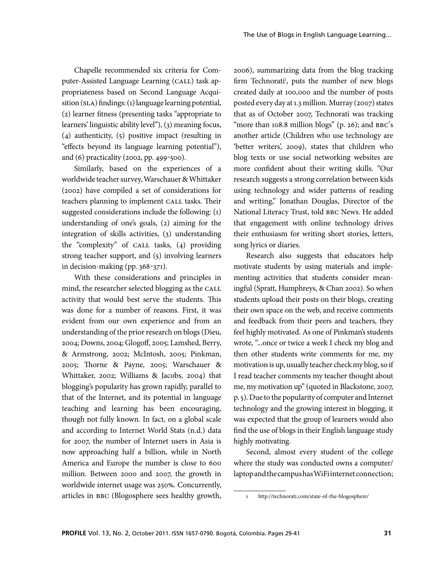Chapelle recommended six criteria for Computer-Assisted Language Learning (CALL) task appropriateness based on Second Language Acquisition (SLA) findings: (1) language learning potential, (2) learner fitness (presenting tasks "appropriate to learners' linguistic ability level"), (3) meaning focus, (4) authenticity, (5) positive impact (resulting in "effects beyond its language learning potential"), and  $(6)$  practicality (2002, pp. 499-500).

Similarly, based on the experiences of a worldwide teacher survey, Warschauer & Whittaker (2002) have compiled a set of considerations for teachers planning to implement CALL tasks. Their suggested considerations include the following: (1) understanding of one's goals, (2) aiming for the integration of skills activities, (3) understanding the "complexity" of CALL tasks, (4) providing strong teacher support, and (5) involving learners in decision-making (pp.  $368-371$ ).

With these considerations and principles in mind, the researcher selected blogging as the CALL activity that would best serve the students. This was done for a number of reasons. First, it was evident from our own experience and from an understanding of the prior research on blogs (Dieu, 2004; Downs, 2004; Glogoff, 2005; Lamshed, Berry, & Armstrong, 2002; McIntosh, 2005; Pinkman, 2005; Thorne & Payne, 2005; Warschauer & Whittaker, 2002; Williams & Jacobs, 2004) that blogging's popularity has grown rapidly, parallel to that of the Internet, and its potential in language teaching and learning has been encouraging, though not fully known. In fact, on a global scale and according to Internet World Stats (n.d.) data for 2007, the number of Internet users in Asia is now approaching half a billion, while in North America and Europe the number is close to 600 million. Between 2000 and 2007, the growth in worldwide internet usage was 250%. Concurrently, articles in BBC (Blogosphere sees healthy growth, 2006), summarizing data from the blog tracking firm Technorati<sup>1</sup>, puts the number of new blogs created daily at 100,000 and the number of posts posted every day at 1.3 million. Murray (2007) states that as of October 2007, Technorati was tracking "more than  $108.8$  million blogs" (p. 26); and  $BBC$ 's another article (Children who use technology are 'better writers', 2009), states that children who blog texts or use social networking websites are more confident about their writing skills. "Our research suggests a strong correlation between kids using technology and wider patterns of reading and writing," Jonathan Douglas, Director of the National Literacy Trust, told BBC News. He added that engagement with online technology drives their enthusiasm for writing short stories, letters, song lyrics or diaries.

Research also suggests that educators help motivate students by using materials and implementing activities that students consider meaningful (Spratt, Humphreys, & Chan 2002). So when students upload their posts on their blogs, creating their own space on the web, and receive comments and feedback from their peers and teachers, they feel highly motivated. As one of Pinkman's students wrote, "...once or twice a week I check my blog and then other students write comments for me, my motivation is up, usually teacher check my blog, so if I read teacher comments my teacher thought about me, my motivation up" (quoted in Blackstone, 2007, p. 5). Due to the popularity of computer and Internet technology and the growing interest in blogging, it was expected that the group of learners would also find the use of blogs in their English language study highly motivating.

Second, almost every student of the college where the study was conducted owns a computer/ laptop and the campus has WiFi internet connection;

<sup>1</sup> http://technorati.com/state-of-the-blogosphere/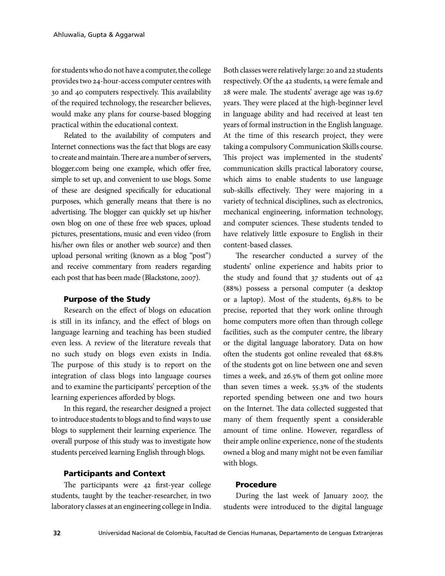for students who do not have a computer, the college provides two 24-hour-access computer centres with 30 and 40 computers respectively. This availability of the required technology, the researcher believes, would make any plans for course-based blogging practical within the educational context.

Related to the availability of computers and Internet connections was the fact that blogs are easy to create and maintain. There are a number of servers, blogger.com being one example, which offer free, simple to set up, and convenient to use blogs. Some of these are designed specifically for educational purposes, which generally means that there is no advertising. The blogger can quickly set up his/her own blog on one of these free web spaces, upload pictures, presentations, music and even video (from his/her own files or another web source) and then upload personal writing (known as a blog "post") and receive commentary from readers regarding each post that has been made (Blackstone, 2007).

#### Purpose of the Study

Research on the effect of blogs on education is still in its infancy, and the effect of blogs on language learning and teaching has been studied even less. A review of the literature reveals that no such study on blogs even exists in India. The purpose of this study is to report on the integration of class blogs into language courses and to examine the participants' perception of the learning experiences afforded by blogs.

In this regard, the researcher designed a project to introduce students to blogs and to find ways to use blogs to supplement their learning experience. The overall purpose of this study was to investigate how students perceived learning English through blogs.

### Participants and Context

The participants were 42 first-year college students, taught by the teacher-researcher, in two laboratory classes at an engineering college in India.

Both classes were relatively large: 20 and 22 students respectively. Of the 42 students, 14 were female and 28 were male. The students' average age was 19.67 years. They were placed at the high-beginner level in language ability and had received at least ten years of formal instruction in the English language. At the time of this research project, they were taking a compulsory Communication Skills course. This project was implemented in the students' communication skills practical laboratory course, which aims to enable students to use language sub-skills effectively. They were majoring in a variety of technical disciplines, such as electronics, mechanical engineering, information technology, and computer sciences. These students tended to have relatively little exposure to English in their content-based classes.

The researcher conducted a survey of the students' online experience and habits prior to the study and found that 37 students out of 42 (88%) possess a personal computer (a desktop or a laptop). Most of the students, 63.8% to be precise, reported that they work online through home computers more often than through college facilities, such as the computer centre, the library or the digital language laboratory. Data on how often the students got online revealed that 68.8% of the students got on line between one and seven times a week, and 26.5% of them got online more than seven times a week. 55.3% of the students reported spending between one and two hours on the Internet. The data collected suggested that many of them frequently spent a considerable amount of time online. However, regardless of their ample online experience, none of the students owned a blog and many might not be even familiar with blogs.

### Procedure

During the last week of January 2007, the students were introduced to the digital language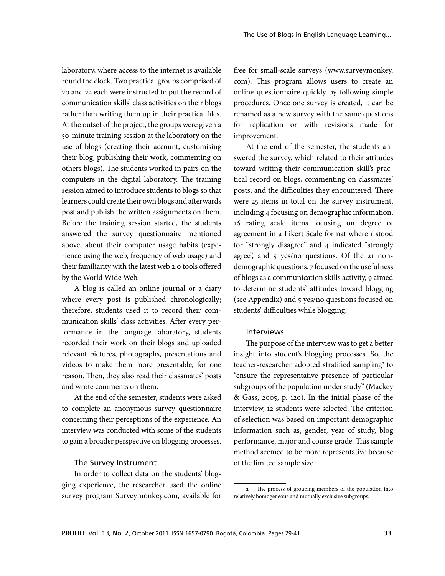laboratory, where access to the internet is available round the clock. Two practical groups comprised of 20 and 22 each were instructed to put the record of communication skills' class activities on their blogs rather than writing them up in their practical files. At the outset of the project, the groups were given a 50-minute training session at the laboratory on the use of blogs (creating their account, customising their blog, publishing their work, commenting on others blogs). The students worked in pairs on the computers in the digital laboratory. The training session aimed to introduce students to blogs so that learners could create their own blogs and afterwards post and publish the written assignments on them. Before the training session started, the students answered the survey questionnaire mentioned above, about their computer usage habits (experience using the web, frequency of web usage) and their familiarity with the latest web 2.0 tools offered by the World Wide Web.

A blog is called an online journal or a diary where every post is published chronologically; therefore, students used it to record their communication skills' class activities. After every performance in the language laboratory, students recorded their work on their blogs and uploaded relevant pictures, photographs, presentations and videos to make them more presentable, for one reason. Then, they also read their classmates' posts and wrote comments on them.

At the end of the semester, students were asked to complete an anonymous survey questionnaire concerning their perceptions of the experience. An interview was conducted with some of the students to gain a broader perspective on blogging processes.

#### The Survey Instrument

In order to collect data on the students' blogging experience, the researcher used the online survey program Surveymonkey.com, available for free for small-scale surveys (www.surveymonkey. com). This program allows users to create an online questionnaire quickly by following simple procedures. Once one survey is created, it can be renamed as a new survey with the same questions for replication or with revisions made for improvement.

At the end of the semester, the students answered the survey, which related to their attitudes toward writing their communication skill's practical record on blogs, commenting on classmates' posts, and the difficulties they encountered. There were 25 items in total on the survey instrument, including 4 focusing on demographic information, 16 rating scale items focusing on degree of agreement in a Likert Scale format where 1 stood for "strongly disagree" and 4 indicated "strongly agree", and 5 yes/no questions. Of the 21 nondemographic questions, 7 focused on the usefulness of blogs as a communication skills activity, 9 aimed to determine students' attitudes toward blogging (see Appendix) and 5 yes/no questions focused on students' difficulties while blogging.

### Interviews

The purpose of the interview was to get a better insight into student's blogging processes. So, the teacher-researcher adopted stratified sampling<sup>2</sup> to "ensure the representative presence of particular subgroups of the population under study" (Mackey & Gass, 2005, p. 120). In the initial phase of the interview, 12 students were selected. The criterion of selection was based on important demographic information such as, gender, year of study, blog performance, major and course grade. This sample method seemed to be more representative because of the limited sample size.

<sup>2</sup> The process of grouping members of the population into relatively homogeneous and mutually exclusive subgroups.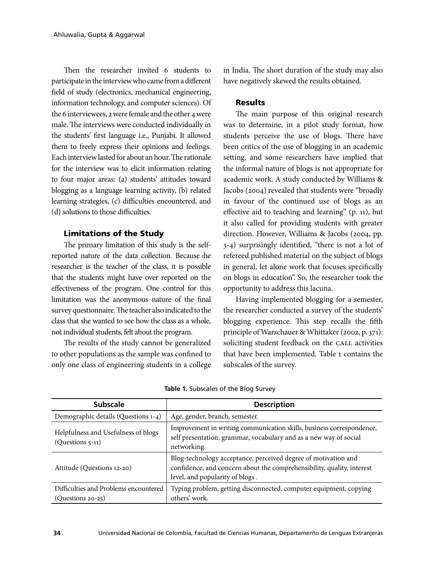Then the researcher invited 6 students to participate in the interview who came from a different field of study (electronics, mechanical engineering, information technology, and computer sciences). Of the 6 interviewees, 2 were female and the other 4 were male. The interviews were conducted individually in the students' first language i.e., Punjabi. It allowed them to freely express their opinions and feelings. Each interview lasted for about an hour. The rationale for the interview was to elicit information relating to four major areas: (a) students' attitudes toward blogging as a language learning activity, (b) related learning strategies, (c) difficulties encountered, and (d) solutions to those difficulties.

## Limitations of the Study

The primary limitation of this study is the selfreported nature of the data collection. Because the researcher is the teacher of the class, it is possible that the students might have over reported on the effectiveness of the program. One control for this limitation was the anonymous nature of the final survey questionnaire. The teacher also indicated to the class that she wanted to see how the class as a whole, not individual students, felt about the program.

The results of the study cannot be generalized to other populations as the sample was confined to only one class of engineering students in a college

in India. The short duration of the study may also have negatively skewed the results obtained.

### Results

The main purpose of this original research was to determine, in a pilot study format, how students perceive the use of blogs. There have been critics of the use of blogging in an academic setting, and some researchers have implied that the informal nature of blogs is not appropriate for academic work. A study conducted by Williams & Jacobs (2004) revealed that students were "broadly in favour of the continued use of blogs as an effective aid to teaching and learning" (p. 11), but it also called for providing students with greater direction. However, Williams & Jacobs (2004, pp. 3-4) surprisingly identified, "there is not a lot of refereed published material on the subject of blogs in general, let alone work that focuses specifically on blogs in education". So, the researcher took the opportunity to address this lacuna.

Having implemented blogging for a semester, the researcher conducted a survey of the students' blogging experience. This step recalls the fifth principle of Warschauer & Whittaker (2002, p. 371): soliciting student feedback on the CALL activities that have been implemented. Table 1 contains the subscales of the survey.

| <b>Subscale</b>                                               | <b>Description</b>                                                                                                                                                          |  |  |
|---------------------------------------------------------------|-----------------------------------------------------------------------------------------------------------------------------------------------------------------------------|--|--|
| Demographic details (Questions 1-4)                           | Age, gender, branch, semester.                                                                                                                                              |  |  |
| Helpfulness and Usefulness of blogs<br>(Questions 5-11)       | Improvement in writing communication skills, business correspondence,<br>self presentation, grammar, vocabulary and as a new way of social<br>networking.                   |  |  |
| Attitude (Questions 12-20)                                    | Blog-technology acceptance, perceived degree of motivation and<br>confidence, and concern about the comprehensibility, quality, interest<br>level, and popularity of blogs. |  |  |
| Difficulties and Problems encountered<br>$(Q$ uestions 20-25) | Typing problem, getting disconnected, computer equipment, copying<br>others' work.                                                                                          |  |  |

|  | Table 1. Subscales of the Blog Survey |  |  |
|--|---------------------------------------|--|--|
|  |                                       |  |  |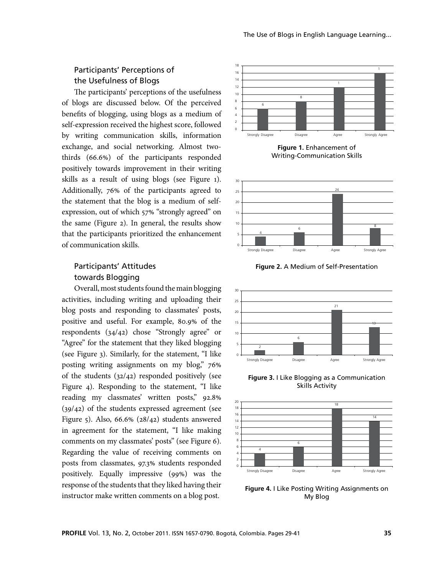# Participants' Perceptions of the Usefulness of Blogs

The participants' perceptions of the usefulness of blogs are discussed below. Of the perceived benefits of blogging, using blogs as a medium of self-expression received the highest score, followed by writing communication skills, information exchange, and social networking. Almost twothirds (66.6%) of the participants responded positively towards improvement in their writing skills as a result of using blogs (see Figure 1). Additionally, 76% of the participants agreed to the statement that the blog is a medium of selfexpression, out of which 57% "strongly agreed" on the same (Figure 2). In general, the results show that the participants prioritized the enhancement of communication skills.

# Participants' Attitudes towards Blogging

Overall, most students found the main blogging activities, including writing and uploading their blog posts and responding to classmates' posts, positive and useful. For example, 80.9% of the respondents (34/42) chose "Strongly agree" or "Agree" for the statement that they liked blogging (see Figure 3). Similarly, for the statement, "I like posting writing assignments on my blog," 76% of the students (32/42) responded positively (see Figure 4). Responding to the statement, "I like reading my classmates' written posts," 92.8% (39/42) of the students expressed agreement (see Figure 5). Also, 66.6% (28/42) students answered in agreement for the statement, "I like making comments on my classmates' posts" (see Figure 6). Regarding the value of receiving comments on posts from classmates, 97.3% students responded positively. Equally impressive (99%) was the response of the students that they liked having their instructor make written comments on a blog post.



**Figure 1.** Enhancement of Writing-Communication Skills



**Figure 2.** A Medium of Self-Presentation



**Figure 3.** I Like Blogging as a Communication Skills Activity



**Figure 4.** I Like Posting Writing Assignments on My Blog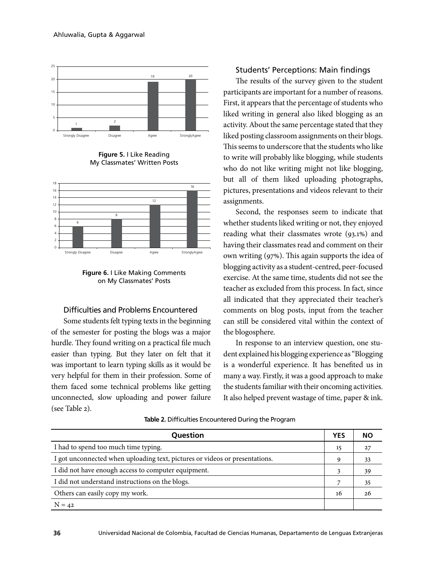

**Figure 5.** I Like Reading My Classmates' Written Posts



**Figure 6.** I Like Making Comments on My Classmates' Posts

### Difficulties and Problems Encountered

Some students felt typing texts in the beginning of the semester for posting the blogs was a major hurdle. They found writing on a practical file much easier than typing. But they later on felt that it was important to learn typing skills as it would be very helpful for them in their profession. Some of them faced some technical problems like getting unconnected, slow uploading and power failure (see Table 2).

### Students' Perceptions: Main findings

The results of the survey given to the student participants are important for a number of reasons. First, it appears that the percentage of students who liked writing in general also liked blogging as an activity. About the same percentage stated that they liked posting classroom assignments on their blogs. This seems to underscore that the students who like to write will probably like blogging, while students who do not like writing might not like blogging, but all of them liked uploading photographs, pictures, presentations and videos relevant to their assignments.

Second, the responses seem to indicate that whether students liked writing or not, they enjoyed reading what their classmates wrote (93.1%) and having their classmates read and comment on their own writing (97%). This again supports the idea of blogging activity as a student-centred, peer-focused exercise. At the same time, students did not see the teacher as excluded from this process. In fact, since all indicated that they appreciated their teacher's comments on blog posts, input from the teacher can still be considered vital within the context of the blogosphere.

In response to an interview question, one student explained his blogging experience as "Blogging is a wonderful experience. It has benefited us in many a way. Firstly, it was a good approach to make the students familiar with their oncoming activities. It also helped prevent wastage of time, paper & ink.

| Question                                                                    | <b>YES</b> | NΟ |
|-----------------------------------------------------------------------------|------------|----|
| I had to spend too much time typing.                                        | 15         | 27 |
| I got unconnected when uploading text, pictures or videos or presentations. | Q          | 33 |
| I did not have enough access to computer equipment.                         |            | 39 |
| I did not understand instructions on the blogs.                             |            | 35 |
| Others can easily copy my work.                                             |            | 26 |
| $N = 42$                                                                    |            |    |

**Table 2.** Difficulties Encountered During the Program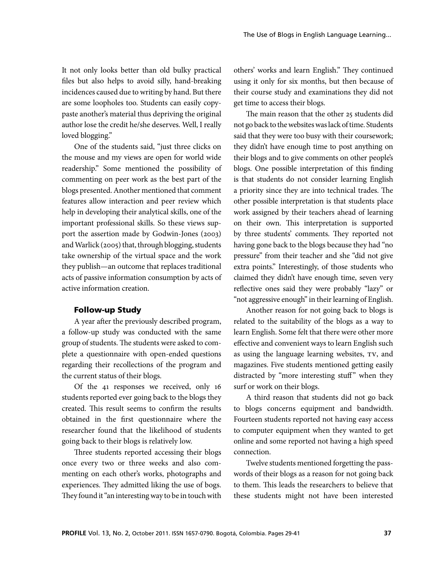It not only looks better than old bulky practical files but also helps to avoid silly, hand-breaking incidences caused due to writing by hand. But there are some loopholes too. Students can easily copypaste another's material thus depriving the original author lose the credit he/she deserves. Well, I really loved blogging."

One of the students said, "just three clicks on the mouse and my views are open for world wide readership." Some mentioned the possibility of commenting on peer work as the best part of the blogs presented. Another mentioned that comment features allow interaction and peer review which help in developing their analytical skills, one of the important professional skills. So these views support the assertion made by Godwin-Jones (2003) and Warlick (2005) that, through blogging, students take ownership of the virtual space and the work they publish—an outcome that replaces traditional acts of passive information consumption by acts of active information creation.

### Follow-up Study

A year after the previously described program, a follow-up study was conducted with the same group of students. The students were asked to complete a questionnaire with open-ended questions regarding their recollections of the program and the current status of their blogs.

Of the 41 responses we received, only 16 students reported ever going back to the blogs they created. This result seems to confirm the results obtained in the first questionnaire where the researcher found that the likelihood of students going back to their blogs is relatively low.

Three students reported accessing their blogs once every two or three weeks and also commenting on each other's works, photographs and experiences. They admitted liking the use of bogs. They found it "an interesting way to be in touch with

others' works and learn English." They continued using it only for six months, but then because of their course study and examinations they did not get time to access their blogs.

The main reason that the other 25 students did not go back to the websites was lack of time. Students said that they were too busy with their coursework; they didn't have enough time to post anything on their blogs and to give comments on other people's blogs. One possible interpretation of this finding is that students do not consider learning English a priority since they are into technical trades. The other possible interpretation is that students place work assigned by their teachers ahead of learning on their own. This interpretation is supported by three students' comments. They reported not having gone back to the blogs because they had "no pressure" from their teacher and she "did not give extra points." Interestingly, of those students who claimed they didn't have enough time, seven very reflective ones said they were probably "lazy" or "not aggressive enough" in their learning of English.

Another reason for not going back to blogs is related to the suitability of the blogs as a way to learn English. Some felt that there were other more effective and convenient ways to learn English such as using the language learning websites, TV, and magazines. Five students mentioned getting easily distracted by "more interesting stuff" when they surf or work on their blogs.

A third reason that students did not go back to blogs concerns equipment and bandwidth. Fourteen students reported not having easy access to computer equipment when they wanted to get online and some reported not having a high speed connection.

Twelve students mentioned forgetting the passwords of their blogs as a reason for not going back to them. This leads the researchers to believe that these students might not have been interested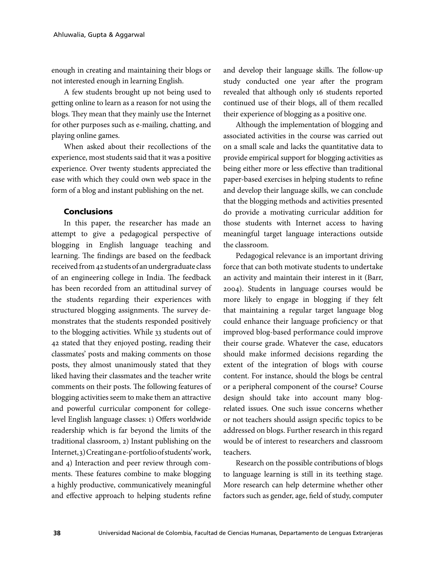enough in creating and maintaining their blogs or not interested enough in learning English.

A few students brought up not being used to getting online to learn as a reason for not using the blogs. They mean that they mainly use the Internet for other purposes such as e-mailing, chatting, and playing online games.

When asked about their recollections of the experience, most students said that it was a positive experience. Over twenty students appreciated the ease with which they could own web space in the form of a blog and instant publishing on the net.

### **Conclusions**

In this paper, the researcher has made an attempt to give a pedagogical perspective of blogging in English language teaching and learning. The findings are based on the feedback received from 42 students of an undergraduate class of an engineering college in India. The feedback has been recorded from an attitudinal survey of the students regarding their experiences with structured blogging assignments. The survey demonstrates that the students responded positively to the blogging activities. While 33 students out of 42 stated that they enjoyed posting, reading their classmates' posts and making comments on those posts, they almost unanimously stated that they liked having their classmates and the teacher write comments on their posts. The following features of blogging activities seem to make them an attractive and powerful curricular component for collegelevel English language classes: 1) Offers worldwide readership which is far beyond the limits of the traditional classroom, 2) Instant publishing on the Internet, 3) Creating an e-portfolio of students' work, and 4) Interaction and peer review through comments. These features combine to make blogging a highly productive, communicatively meaningful and effective approach to helping students refine

and develop their language skills. The follow-up study conducted one year after the program revealed that although only 16 students reported continued use of their blogs, all of them recalled their experience of blogging as a positive one.

Although the implementation of blogging and associated activities in the course was carried out on a small scale and lacks the quantitative data to provide empirical support for blogging activities as being either more or less effective than traditional paper-based exercises in helping students to refine and develop their language skills, we can conclude that the blogging methods and activities presented do provide a motivating curricular addition for those students with Internet access to having meaningful target language interactions outside the classroom.

Pedagogical relevance is an important driving force that can both motivate students to undertake an activity and maintain their interest in it (Barr, 2004). Students in language courses would be more likely to engage in blogging if they felt that maintaining a regular target language blog could enhance their language proficiency or that improved blog-based performance could improve their course grade. Whatever the case, educators should make informed decisions regarding the extent of the integration of blogs with course content. For instance, should the blogs be central or a peripheral component of the course? Course design should take into account many blogrelated issues. One such issue concerns whether or not teachers should assign specific topics to be addressed on blogs. Further research in this regard would be of interest to researchers and classroom teachers.

Research on the possible contributions of blogs to language learning is still in its teething stage. More research can help determine whether other factors such as gender, age, field of study, computer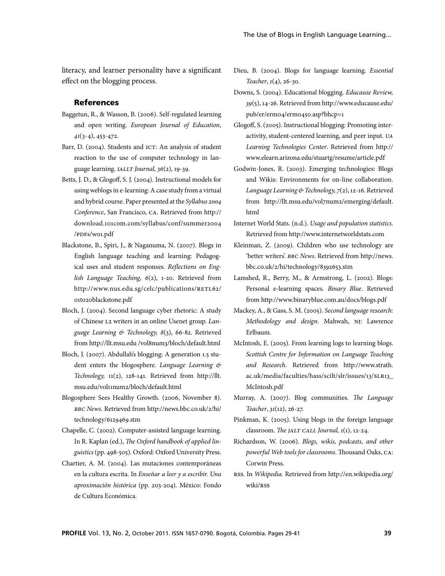literacy, and learner personality have a significant effect on the blogging process.

### References

- Baggetun, R., & Wasson, B. (2006). Self-regulated learning and open writing. *European Journal of Education*, *41*(3-4), 453-472.
- Barr, D. (2004). Students and ICT: An analysis of student reaction to the use of computer technology in language learning. *IALLT Journal*, *36*(2), 19-39.
- Betts, J. D., & Glogoff, S. J. (2004). Instructional models for using weblogs in e-learning: A case study from a virtual and hybrid course*.* Paper presented at the *Syllabus 2004 Conference*, San Francisco, CA. Retrieved from http:// download.101com.com/syllabus/conf/summer2004 /PDFs/w01.pdf
- Blackstone, B., Spiri, J., & Naganuma, N. (2007). Blogs in English language teaching and learning: Pedagogical uses and student responses. *Reflections on English Language Teaching*, *6*(2), 1-20. Retrieved from http://www.nus.edu.sg/celc/publications/RETL62/ 01to20blackstone.pdf
- Bloch, J. (2004). Second language cyber rhetoric: A study of Chinese L2 writers in an online Usenet group. *Language Learning & Technology, 8*(3), 66-82. Retrieved from http://llt.msu.edu /vol8num3/bloch/default.html
- Bloch, J. (2007). Abdullah's blogging: A generation 1.5 student enters the blogosphere. *Language Learning & Technology,* 11(2), 128-141. Retrieved from http://llt. msu.edu/vol11num2/bloch/default.html
- Blogosphere Sees Healthy Growth. (2006, November 8). *BBC News*. Retrieved from http://news.bbc.co.uk/2/hi/ technology/6129469.stm
- Chapelle, C. (2002). Computer-assisted language learning. In R. Kaplan (ed.), *The Oxford handbook of applied linguistics* (pp. 498-505). Oxford: Oxford University Press.
- Chartier, A. M. (2004). Las mutaciones contemporáneas en la cultura escrita. In *Enseñar a leer y a escribir. Una aproximación histórica* (pp. 203-204). México: Fondo de Cultura Económica.
- Dieu, B. (2004). Blogs for language learning. *Essential Teacher*, *1*(4), 26-30.
- Downs, S. (2004). Educational blogging. *Educause Review, 39*(5), 14-26. Retrieved from http://www.educause.edu/ pub/er/erm04/erm0450.asp?bhcp=1
- Glogoff, S. (2005). Instructional blogging: Promoting interactivity, student-centered learning, and peer input. *UA Learning Technologies Center*. Retrieved from http:// www.elearn.arizona.edu/stuartg/resume/article.pdf
- Godwin-Jones, R. (2003). Emerging technologies: Blogs and Wikis: Environments for on-line collaboration. *Language Learning & Technology, 7*(2), 12-16. Retrieved from http://llt.msu.edu/vol7num2/emerging/default. html
- Internet World Stats. (n.d.). *Usage and population statistics*. Retrieved from http://www.internetworldstats.com
- Kleinman, Z. (2009). Children who use technology are 'better writers'. *BBC News*. Retrieved from http://news. bbc.co.uk/2/hi/technology/8392653.stm
- Lamshed, R., Berry, M., & Armstrong, L. (2002). Blogs: Personal e-learning spaces. *Binary Blue*. Retrieved from http://www.binaryblue.com.au/docs/blogs.pdf
- Mackey, A., & Gass, S. M. (2005). *Second language research: Methodology and design*. Mahwah, NJ: Lawrence Erlbaum.
- McIntosh, E. (2005). From learning logs to learning blogs. *Scottish Centre for Information on Language Teaching and Research*. Retrieved from http://www.strath. ac.uk/media/faculties/hass/scilt/slr/issues/13/SLR13\_ McIntosh.pdf
- Murray, A. (2007). Blog communities. *The Language Teacher*, *31*(12), 26-27.
- Pinkman, K. (2005). Using blogs in the foreign language classroom. *The JALT CALL Journal, 1*(1), 12-24.
- Richardson, W. (2006). *Blogs, wikis, podcasts, and other powerful Web tools for classrooms*. Thousand Oaks, CA: Corwin Press.
- RSS. In *Wikipedia*. Retrieved from http://en.wikipedia.org/ wiki/RSS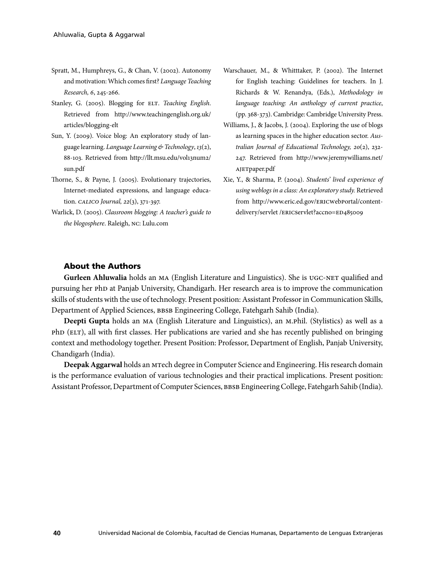- Spratt, M., Humphreys, G., & Chan, V. (2002). Autonomy and motivation: Which comes first? *Language Teaching Research, 6*, 245-266.
- Stanley, G. (2005). Blogging for ELT. *Teaching English*. Retrieved from http://www.teachingenglish.org.uk/ articles/blogging-elt
- Sun, Y. (2009). Voice blog: An exploratory study of language learning. *Language Learning & Technology*, *13*(2), 88-103. Retrieved from http://llt.msu.edu/vol13num2/ sun.pdf
- Thorne, S., & Payne, J. (2005). Evolutionary trajectories, Internet-mediated expressions, and language education. *CALICO Journal, 22*(3), 371-397.
- Warlick, D. (2005). *Classroom blogging: A teacher's guide to the blogosphere*. Raleigh, NC: Lulu.com
- Warschauer, M., & Whitttaker, P. (2002). The Internet for English teaching: Guidelines for teachers. In J. Richards & W. Renandya, (Eds.), *Methodology in language teaching: An anthology of current practice*, (pp. 368-373). Cambridge: Cambridge University Press.
- Williams, J., & Jacobs, J. (2004). Exploring the use of blogs as learning spaces in the higher education sector. *Australian Journal of Educational Technology, 20*(2), 232- 247. Retrieved from http://www.jeremywilliams.net/ AJETpaper.pdf
- Xie, Y., & Sharma, P. (2004). *Students' lived experience of using weblogs in a class: An exploratory study.* Retrieved from http://www.eric.ed.gov/ERICWebPortal/contentdelivery/servlet /ERICServlet?accno=ED485009

### About the Authors

**Gurleen Ahluwalia** holds an MA (English Literature and Linguistics). She is UGC-NET qualified and pursuing her PhD at Panjab University, Chandigarh. Her research area is to improve the communication skills of students with the use of technology. Present position: Assistant Professor in Communication Skills, Department of Applied Sciences, BBSB Engineering College, Fatehgarh Sahib (India).

**Deepti Gupta** holds an MA (English Literature and Linguistics), an M.Phil. (Stylistics) as well as a PhD (ELT), all with first classes. Her publications are varied and she has recently published on bringing context and methodology together. Present Position: Professor, Department of English, Panjab University, Chandigarh (India).

**Deepak Aggarwal** holds an MTech degree in Computer Science and Engineering. His research domain is the performance evaluation of various technologies and their practical implications. Present position: Assistant Professor, Department of Computer Sciences, BBSB Engineering College, Fatehgarh Sahib (India).